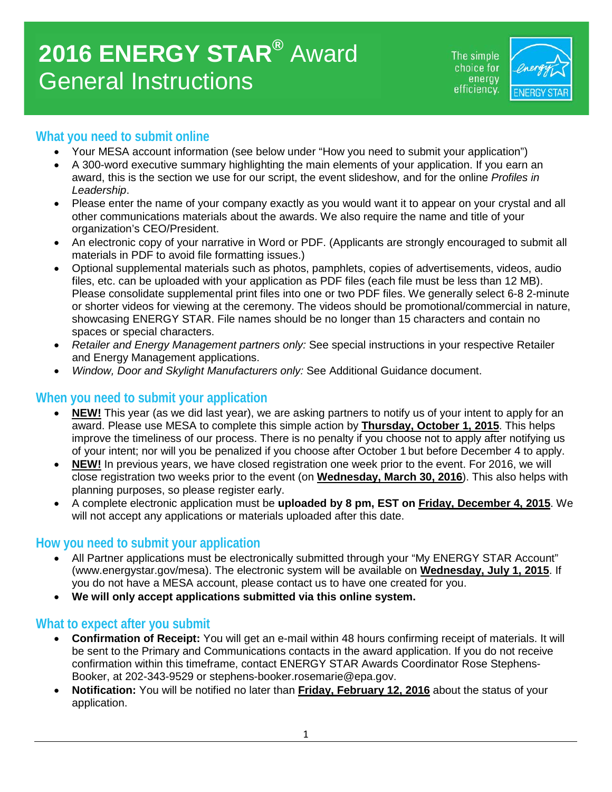# **2016 ENERGY STAR®** Award General Instructions

The simple choice for energy efficiency.



## **What you need to submit online**

- Your MESA account information (see below under "How you need to submit your application")
- A 300-word executive summary highlighting the main elements of your application. If you earn an award, this is the section we use for our script, the event slideshow, and for the online *Profiles in Leadership*.
- Please enter the name of your company exactly as you would want it to appear on your crystal and all other communications materials about the awards. We also require the name and title of your organization's CEO/President.
- An electronic copy of your narrative in Word or PDF. (Applicants are strongly encouraged to submit all materials in PDF to avoid file formatting issues.)
- Optional supplemental materials such as photos, pamphlets, copies of advertisements, videos, audio files, etc. can be uploaded with your application as PDF files (each file must be less than 12 MB). Please consolidate supplemental print files into one or two PDF files. We generally select 6-8 2-minute or shorter videos for viewing at the ceremony. The videos should be promotional/commercial in nature, showcasing ENERGY STAR. File names should be no longer than 15 characters and contain no spaces or special characters.
- *Retailer and Energy Management partners only:* See special instructions in your respective Retailer and Energy Management applications.
- *Window, Door and Skylight Manufacturers only:* See Additional Guidance document.

### **When you need to submit your application**

- **NEW!** This year (as we did last year), we are asking partners to notify us of your intent to apply for an award. Please use MESA to complete this simple action by **Thursday, October 1, 2015**. This helps improve the timeliness of our process. There is no penalty if you choose not to apply after notifying us of your intent; nor will you be penalized if you choose after October 1 but before December 4 to apply.
- **NEW!** In previous years, we have closed registration one week prior to the event. For 2016, we will close registration two weeks prior to the event (on **Wednesday, March 30, 2016**). This also helps with planning purposes, so please register early.
- A complete electronic application must be **uploaded by 8 pm, EST on Friday, December 4, 2015**. We will not accept any applications or materials uploaded after this date.

### **How you need to submit your application**

- All Partner applications must be electronically submitted through your "My ENERGY STAR Account" (www.energystar.gov/mesa). The electronic system will be available on **Wednesday, July 1, 2015**. If you do not have a MESA account, please contact us to have one created for you.
- **We will only accept applications submitted via this online system.**

### **What to expect after you submit**

- **Confirmation of Receipt:** You will get an e-mail within 48 hours confirming receipt of materials. It will be sent to the Primary and Communications contacts in the award application. If you do not receive confirmation within this timeframe, contact ENERGY STAR Awards Coordinator Rose Stephens-Booker, at 202-343-9529 or stephens-booker.rosemarie@epa.gov.
- **Notification:** You will be notified no later than **Friday, February 12, 2016** about the status of your application.

1